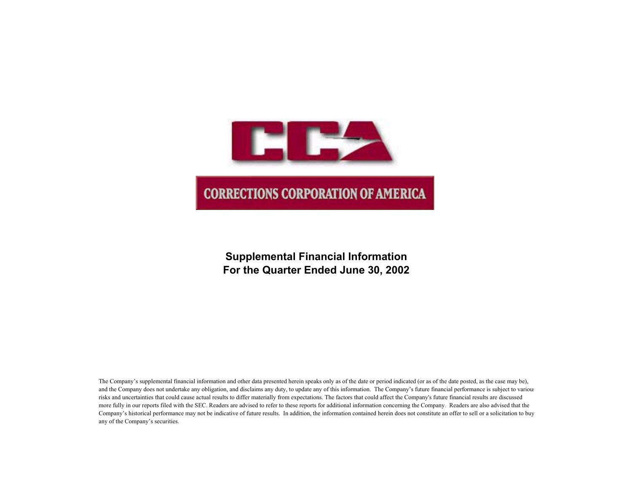

# **Supplemental Financial Information For the Quarter Ended June 30, 2002**

The Company's supplemental financial information and other data presented herein speaks only as of the date or period indicated (or as of the date posted, as the case may be), and the Company does not undertake any obligation, and disclaims any duty, to update any of this information. The Company's future financial performance is subject to various risks and uncertainties that could cause actual results to differ materially from expectations. The factors that could affect the Company's future financial results are discussed more fully in our reports filed with the SEC. Readers are advised to refer to these reports for additional information concerning the Company. Readers are also advised that the Company's historical performance may not be indicative of future results. In addition, the information contained herein does not constitute an offer to sell or a solicitation to buy any of the Company's securities.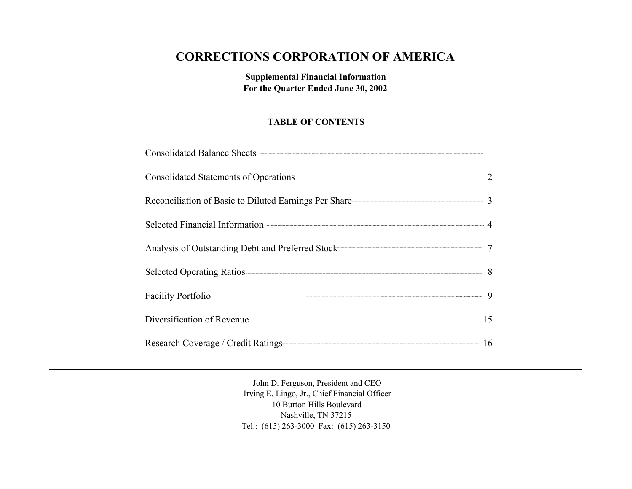# **CORRECTIONS CORPORATION OF AMERICA**

**Supplemental Financial Information For the Quarter Ended June 30, 2002**

## **TABLE OF CONTENTS**

| Reconciliation of Basic to Diluted Earnings Per Share———————————————————————————— 3 |  |
|-------------------------------------------------------------------------------------|--|
|                                                                                     |  |
| Analysis of Outstanding Debt and Preferred Stock 77 7                               |  |
|                                                                                     |  |
| Facility Portfolio 9                                                                |  |
| Diversification of Revenue 15                                                       |  |
| Research Coverage / Credit Ratings 16                                               |  |

John D. Ferguson, President and CEO Irving E. Lingo, Jr., Chief Financial Officer 10 Burton Hills Boulevard Nashville, TN 37215 Tel.: (615) 263-3000 Fax: (615) 263-3150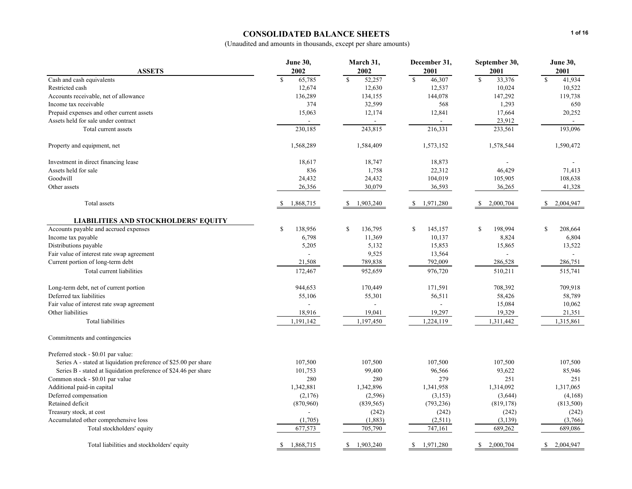### **CONSOLIDATED BALANCE SHEETS**

|                                                                  | <b>June 30,</b>          | March 31,             | December 31,              | September 30,          | <b>June 30,</b>          |
|------------------------------------------------------------------|--------------------------|-----------------------|---------------------------|------------------------|--------------------------|
| <b>ASSETS</b>                                                    | 2002                     | 2002                  | 2001                      | 2001                   | 2001                     |
| Cash and cash equivalents                                        | 65,785<br><sup>\$</sup>  | $\mathbf S$<br>52,257 | $\mathbf S$<br>46,307     | $\mathbf S$<br>33,376  | $\mathbf S$<br>41,934    |
| Restricted cash                                                  | 12,674                   | 12,630                | 12,537                    | 10,024                 | 10,522                   |
| Accounts receivable, net of allowance                            | 136,289                  | 134,155               | 144,078                   | 147,292                | 119,738                  |
| Income tax receivable                                            | 374                      | 32,599                | 568                       | 1,293                  | 650                      |
| Prepaid expenses and other current assets                        | 15,063                   | 12,174                | 12,841                    | 17,664                 | 20,252                   |
| Assets held for sale under contract                              |                          |                       |                           | 23,912                 |                          |
| Total current assets                                             | 230,185                  | 243,815               | 216,331                   | 233,561                | 193,096                  |
| Property and equipment, net                                      | 1,568,289                | 1,584,409             | 1,573,152                 | 1,578,544              | 1,590,472                |
| Investment in direct financing lease                             | 18,617                   | 18,747                | 18,873                    |                        |                          |
| Assets held for sale                                             | 836                      | 1,758                 | 22,312                    | 46,429                 | 71,413                   |
| Goodwill                                                         | 24,432                   | 24,432                | 104,019                   | 105,905                | 108,638                  |
| Other assets                                                     | 26,356                   | 30,079                | 36,593                    | 36,265                 | 41,328                   |
| Total assets                                                     | 1,868,715<br>-S          | 1,903,240             | 1,971,280<br>-S           | 2,000,704              | 2,004,947                |
| <b>LIABILITIES AND STOCKHOLDERS' EQUITY</b>                      |                          |                       |                           |                        |                          |
| Accounts payable and accrued expenses                            | <sup>\$</sup><br>138,956 | 136,795<br>S          | \$<br>145,157             | $\mathbf S$<br>198,994 | <sup>\$</sup><br>208,664 |
| Income tax payable                                               | 6,798                    | 11,369                | 10,137                    | 8,824                  | 6,804                    |
| Distributions payable                                            | 5,205                    | 5,132                 | 15,853                    | 15,865                 | 13,522                   |
| Fair value of interest rate swap agreement                       |                          | 9,525                 | 13,564                    |                        |                          |
| Current portion of long-term debt                                | 21,508                   | 789,838               | 792,009                   | 286,528                | 286,751                  |
| Total current liabilities                                        | 172,467                  | 952,659               | 976,720                   | 510,211                | 515,741                  |
| Long-term debt, net of current portion                           | 944,653                  | 170,449               | 171,591                   | 708,392                | 709,918                  |
| Deferred tax liabilities                                         | 55,106                   | 55,301                | 56,511                    | 58,426                 | 58,789                   |
| Fair value of interest rate swap agreement                       |                          |                       |                           | 15,084                 | 10,062                   |
| Other liabilities                                                | 18,916                   | 19,041                | 19,297                    | 19,329                 | 21,351                   |
| Total liabilities                                                | 1,191,142                | 1,197,450             | 1,224,119                 | 1,311,442              | 1,315,861                |
| Commitments and contingencies                                    |                          |                       |                           |                        |                          |
| Preferred stock - \$0.01 par value:                              |                          |                       |                           |                        |                          |
| Series A - stated at liquidation preference of \$25.00 per share | 107,500                  | 107,500               | 107,500                   | 107,500                | 107,500                  |
| Series B - stated at liquidation preference of \$24.46 per share | 101,753                  | 99,400                | 96,566                    | 93,622                 | 85,946                   |
| Common stock - \$0.01 par value                                  | 280                      | 280                   | 279                       | 251                    | 251                      |
| Additional paid-in capital                                       | 1,342,881                | 1,342,896             | 1,341,958                 | 1,314,092              | 1,317,065                |
| Deferred compensation                                            | (2,176)                  | (2,596)               | (3, 153)                  | (3,644)                | (4,168)                  |
| Retained deficit                                                 | (870,960)                | (839, 565)            | (793, 236)                | (819, 178)             | (813,500)                |
| Treasury stock, at cost                                          |                          | (242)                 | (242)                     | (242)                  | (242)                    |
| Accumulated other comprehensive loss                             | (1,705)                  | (1,883)               | (2,511)                   | (3, 139)               | (3,766)                  |
| Total stockholders' equity                                       | 677,573                  | 705,790               | 747,161                   | 689,262                | 689,086                  |
| Total liabilities and stockholders' equity                       | 1,868,715<br>\$          | 1,903,240<br>\$       | $\mathbb{S}$<br>1,971,280 | 2,000,704<br>\$        | 2,004,947<br>\$          |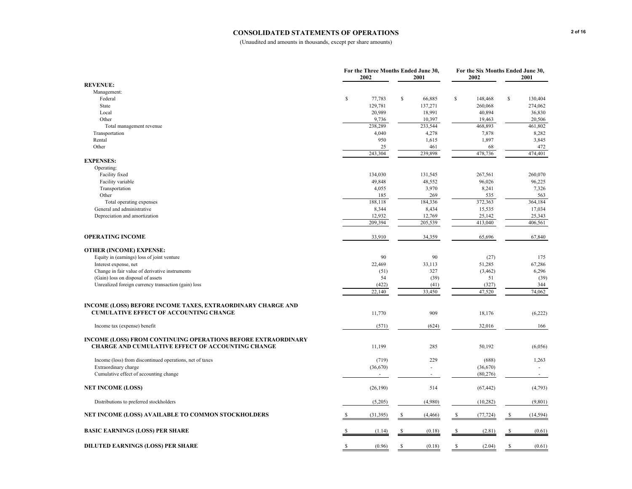#### **CONSOLIDATED STATEMENTS OF OPERATIONS**

|                                                                      |              | For the Three Months Ended June 30,<br>2002 |    | 2001     |             | 2002      |              | For the Six Months Ended June 30,<br>2001 |  |
|----------------------------------------------------------------------|--------------|---------------------------------------------|----|----------|-------------|-----------|--------------|-------------------------------------------|--|
| <b>REVENUE:</b>                                                      |              |                                             |    |          |             |           |              |                                           |  |
| Management:                                                          |              |                                             |    |          |             |           |              |                                           |  |
| Federal                                                              | \$           | 77,783                                      | \$ | 66,885   | \$          | 148,468   | \$           | 130,404                                   |  |
| State                                                                |              | 129,781                                     |    | 137,271  |             | 260,068   |              | 274,062                                   |  |
| Local                                                                |              | 20,989                                      |    | 18,991   |             | 40,894    |              | 36,830                                    |  |
| Other                                                                |              | 9,736                                       |    | 10,397   |             | 19,463    |              | 20,506                                    |  |
| Total management revenue                                             |              | 238,289                                     |    | 233,544  |             | 468,893   |              | 461,802                                   |  |
| Transportation                                                       |              | 4,040                                       |    | 4,278    |             | 7,878     |              | 8,282                                     |  |
| Rental                                                               |              | 950                                         |    | 1,615    |             | 1,897     |              | 3,845                                     |  |
| Other                                                                |              | 25                                          |    | 461      |             | 68        |              | 472                                       |  |
|                                                                      |              | 243,304                                     |    | 239,898  |             | 478,736   |              | 474,401                                   |  |
| <b>EXPENSES:</b>                                                     |              |                                             |    |          |             |           |              |                                           |  |
| Operating:                                                           |              |                                             |    |          |             |           |              |                                           |  |
| Facility fixed                                                       |              | 134,030                                     |    | 131,545  |             | 267,561   |              | 260,070                                   |  |
| Facility variable                                                    |              | 49,848                                      |    | 48,552   |             | 96,026    |              | 96,225                                    |  |
| Transportation                                                       |              | 4,055                                       |    | 3,970    |             | 8,241     |              | 7,326                                     |  |
| Other                                                                |              | 185                                         |    | 269      |             | 535       |              | 563                                       |  |
| Total operating expenses                                             |              | 188,118                                     |    | 184,336  |             | 372,363   |              | 364,184                                   |  |
| General and administrative                                           |              | 8,344                                       |    | 8,434    |             | 15,535    |              | 17,034                                    |  |
| Depreciation and amortization                                        |              | 12,932                                      |    | 12,769   |             | 25,142    |              | 25,343                                    |  |
|                                                                      |              | 209,394                                     |    | 205,539  |             | 413,040   |              | 406,561                                   |  |
|                                                                      |              |                                             |    |          |             |           |              |                                           |  |
| <b>OPERATING INCOME</b>                                              |              | 33,910                                      |    | 34,359   |             | 65,696    |              | 67,840                                    |  |
| <b>OTHER (INCOME) EXPENSE:</b>                                       |              |                                             |    |          |             |           |              |                                           |  |
| Equity in (earnings) loss of joint venture                           |              | 90                                          |    | 90       |             | (27)      |              | 175                                       |  |
| Interest expense, net                                                |              | 22,469                                      |    | 33,113   |             | 51,285    |              | 67,286                                    |  |
| Change in fair value of derivative instruments                       |              | (51)                                        |    | 327      |             | (3, 462)  |              | 6,296                                     |  |
| (Gain) loss on disposal of assets                                    |              | 54                                          |    | (39)     |             | 51        |              | (39)                                      |  |
| Unrealized foreign currency transaction (gain) loss                  |              | (422)                                       |    | (41)     |             | (327)     |              | 344                                       |  |
|                                                                      |              | 22,140                                      |    | 33,450   |             | 47,520    |              | 74,062                                    |  |
|                                                                      |              |                                             |    |          |             |           |              |                                           |  |
| <b>INCOME (LOSS) BEFORE INCOME TAXES, EXTRAORDINARY CHARGE AND</b>   |              |                                             |    |          |             |           |              |                                           |  |
| <b>CUMULATIVE EFFECT OF ACCOUNTING CHANGE</b>                        |              | 11,770                                      |    | 909      |             | 18,176    |              | (6,222)                                   |  |
|                                                                      |              |                                             |    |          |             |           |              |                                           |  |
| Income tax (expense) benefit                                         |              | (571)                                       |    | (624)    |             | 32,016    |              | 166                                       |  |
|                                                                      |              |                                             |    |          |             |           |              |                                           |  |
| <b>INCOME (LOSS) FROM CONTINUING OPERATIONS BEFORE EXTRAORDINARY</b> |              |                                             |    |          |             |           |              |                                           |  |
| CHARGE AND CUMULATIVE EFFECT OF ACCOUNTING CHANGE                    |              | 11,199                                      |    | 285      |             | 50,192    |              | (6,056)                                   |  |
|                                                                      |              |                                             |    |          |             |           |              |                                           |  |
| Income (loss) from discontinued operations, net of taxes             |              | (719)                                       |    | 229      |             | (688)     |              | 1,263                                     |  |
| Extraordinary charge                                                 |              | (36,670)                                    |    | ÷.       |             | (36,670)  |              | $\bar{\phantom{a}}$                       |  |
| Cumulative effect of accounting change                               |              |                                             |    |          |             | (80, 276) |              | ÷,                                        |  |
| <b>NET INCOME (LOSS)</b>                                             |              | (26, 190)                                   |    | 514      |             | (67, 442) |              | (4,793)                                   |  |
|                                                                      |              |                                             |    |          |             |           |              |                                           |  |
| Distributions to preferred stockholders                              |              | (5,205)                                     |    | (4,980)  |             | (10, 282) |              | (9, 801)                                  |  |
| NET INCOME (LOSS) AVAILABLE TO COMMON STOCKHOLDERS                   |              | (31, 395)                                   |    | (4, 466) | -S          | (77, 724) | -S           | (14, 594)                                 |  |
| <b>BASIC EARNINGS (LOSS) PER SHARE</b>                               |              | (1.14)                                      | S  | (0.18)   |             | (2.81)    |              | (0.61)                                    |  |
|                                                                      |              |                                             |    |          |             |           |              |                                           |  |
| <b>DILUTED EARNINGS (LOSS) PER SHARE</b>                             | $\mathbb{S}$ | (0.96)                                      | \$ | (0.18)   | $\mathbf S$ | (2.04)    | $\mathbb{S}$ | (0.61)                                    |  |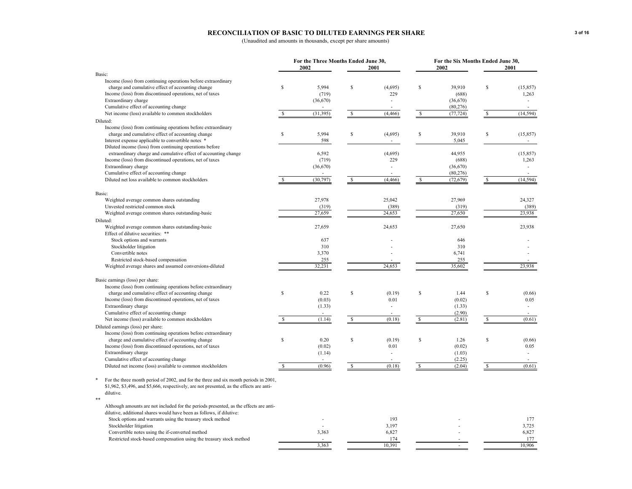#### **RECONCILIATION OF BASIC TO DILUTED EARNINGS PER SHARE**

|                                                                                          |               | For the Three Months Ended June 30, |    |          |               |           | For the Six Months Ended June 30, |           |  |
|------------------------------------------------------------------------------------------|---------------|-------------------------------------|----|----------|---------------|-----------|-----------------------------------|-----------|--|
| Basic:                                                                                   |               | 2002                                |    | 2001     |               | 2002      |                                   | 2001      |  |
| Income (loss) from continuing operations before extraordinary                            |               |                                     |    |          |               |           |                                   |           |  |
| charge and cumulative effect of accounting change                                        | <sup>\$</sup> | 5,994                               | S  | (4,695)  | \$            | 39,910    | $\mathbb S$                       | (15, 857) |  |
| Income (loss) from discontinued operations, net of taxes                                 |               | (719)                               |    | 229      |               | (688)     |                                   | 1,263     |  |
| Extraordinary charge                                                                     |               | (36,670)                            |    |          |               | (36,670)  |                                   |           |  |
| Cumulative effect of accounting change                                                   |               |                                     |    |          |               | (80, 276) |                                   |           |  |
| Net income (loss) available to common stockholders                                       | <b>S</b>      | (31, 395)                           | -S | (4, 466) | <sup>\$</sup> | (77, 724) | S.                                | (14, 594) |  |
| Diluted:                                                                                 |               |                                     |    |          |               |           |                                   |           |  |
| Income (loss) from continuing operations before extraordinary                            |               |                                     |    |          |               |           |                                   |           |  |
| charge and cumulative effect of accounting change                                        | \$            | 5,994                               | \$ | (4,695)  | $\mathbb S$   | 39,910    | $\mathbb{S}$                      | (15, 857) |  |
| Interest expense applicable to convertible notes *                                       |               | 598                                 |    |          |               | 5,045     |                                   |           |  |
| Diluted income (loss) from continuing operations before                                  |               |                                     |    |          |               |           |                                   |           |  |
| extraordinary charge and cumulative effect of accounting change                          |               | 6,592                               |    | (4,695)  |               | 44,955    |                                   | (15, 857) |  |
| Income (loss) from discontinued operations, net of taxes                                 |               | (719)                               |    | 229      |               | (688)     |                                   | 1,263     |  |
| Extraordinary charge                                                                     |               | (36, 670)                           |    |          |               | (36,670)  |                                   |           |  |
| Cumulative effect of accounting change                                                   |               |                                     |    |          |               | (80, 276) |                                   |           |  |
| Diluted net loss available to common stockholders                                        | S             | (30, 797)                           | -S | (4, 466) | <sup>\$</sup> | (72, 679) | S                                 | (14, 594) |  |
|                                                                                          |               |                                     |    |          |               |           |                                   |           |  |
| Basic:                                                                                   |               |                                     |    |          |               |           |                                   |           |  |
| Weighted average common shares outstanding                                               |               | 27,978                              |    | 25,042   |               | 27,969    |                                   | 24,327    |  |
| Unvested restricted common stock                                                         |               | (319)                               |    | (389)    |               | (319)     |                                   | (389)     |  |
| Weighted average common shares outstanding-basic                                         |               | 27,659                              |    | 24,653   |               | 27,650    |                                   | 23,938    |  |
| Diluted:                                                                                 |               |                                     |    |          |               |           |                                   |           |  |
| Weighted average common shares outstanding-basic                                         |               | 27,659                              |    | 24,653   |               | 27,650    |                                   | 23,938    |  |
| Effect of dilutive securities: **                                                        |               |                                     |    |          |               |           |                                   |           |  |
| Stock options and warrants                                                               |               | 637                                 |    |          |               | 646       |                                   |           |  |
| Stockholder litigation                                                                   |               | 310                                 |    |          |               | 310       |                                   |           |  |
| Convertible notes                                                                        |               | 3,370                               |    |          |               | 6,741     |                                   |           |  |
| Restricted stock-based compensation                                                      |               | 255                                 |    |          |               | 255       |                                   |           |  |
| Weighted average shares and assumed conversions-diluted                                  |               | 32,231                              |    | 24,653   |               | 35,602    |                                   | 23,938    |  |
|                                                                                          |               |                                     |    |          |               |           |                                   |           |  |
| Basic earnings (loss) per share:                                                         |               |                                     |    |          |               |           |                                   |           |  |
| Income (loss) from continuing operations before extraordinary                            |               |                                     |    |          |               |           |                                   |           |  |
| charge and cumulative effect of accounting change                                        | S             | 0.22                                | \$ | (0.19)   | \$            | 1.44      | \$                                | (0.66)    |  |
| Income (loss) from discontinued operations, net of taxes                                 |               | (0.03)                              |    | 0.01     |               | (0.02)    |                                   | 0.05      |  |
| Extraordinary charge                                                                     |               | (1.33)                              |    |          |               | (1.33)    |                                   | ÷         |  |
| Cumulative effect of accounting change                                                   |               | $\sim$                              |    |          |               | (2.90)    |                                   |           |  |
| Net income (loss) available to common stockholders                                       | \$.           | (1.14)                              | -S | (0.18)   | S             | (2.81)    | S                                 | (0.61)    |  |
| Diluted earnings (loss) per share:                                                       |               |                                     |    |          |               |           |                                   |           |  |
| Income (loss) from continuing operations before extraordinary                            |               |                                     |    |          |               |           |                                   |           |  |
| charge and cumulative effect of accounting change                                        | S             | 0.20                                | \$ | (0.19)   | \$            | 1.26      | \$                                | (0.66)    |  |
| Income (loss) from discontinued operations, net of taxes                                 |               | (0.02)                              |    | 0.01     |               | (0.02)    |                                   | 0.05      |  |
| Extraordinary charge                                                                     |               | (1.14)                              |    |          |               | (1.03)    |                                   | ÷         |  |
| Cumulative effect of accounting change                                                   |               |                                     |    |          |               | (2.25)    |                                   |           |  |
| Diluted net income (loss) available to common stockholders                               |               | (0.96)                              | -S | (0.18)   | S             | (2.04)    |                                   | (0.61)    |  |
|                                                                                          |               |                                     |    |          |               |           |                                   |           |  |
| For the three month period of 2002, and for the three and six month periods in 2001,     |               |                                     |    |          |               |           |                                   |           |  |
| \$1,962, \$3,496, and \$5,666, respectively, are not presented, as the effects are anti- |               |                                     |    |          |               |           |                                   |           |  |
| dilutive.<br>**                                                                          |               |                                     |    |          |               |           |                                   |           |  |
| Although amounts are not included for the periods presented, as the effects are anti-    |               |                                     |    |          |               |           |                                   |           |  |
| dilutive, additional shares would have been as follows, if dilutive:                     |               |                                     |    |          |               |           |                                   |           |  |
| Stock options and warrants using the treasury stock method                               |               |                                     |    | 193      |               |           |                                   | 177       |  |
| Stockholder litigation                                                                   |               |                                     |    | 3,197    |               |           |                                   | 3,725     |  |
| Convertible notes using the if-converted method                                          |               | 3,363                               |    | 6,827    |               |           |                                   | 6,827     |  |
| Restricted stock-based compensation using the treasury stock method                      |               |                                     |    | 174      |               |           |                                   | 177       |  |
|                                                                                          |               | 3.363                               |    | 10.391   |               |           |                                   | 10.906    |  |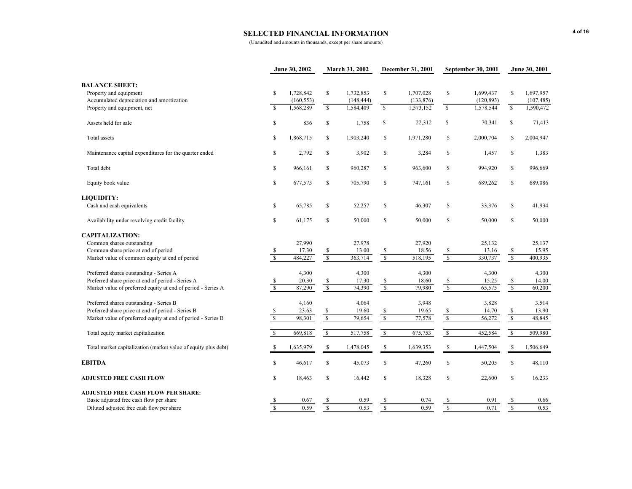## **SELECTED FINANCIAL INFORMATION**

|                                                                |                         | June 30, 2002 |                         | <b>March 31, 2002</b> |                           | December 31, 2001 |                          | September 30, 2001 |                          | June 30, 2001 |
|----------------------------------------------------------------|-------------------------|---------------|-------------------------|-----------------------|---------------------------|-------------------|--------------------------|--------------------|--------------------------|---------------|
| <b>BALANCE SHEET:</b>                                          |                         |               |                         |                       |                           |                   |                          |                    |                          |               |
| Property and equipment                                         | \$                      | 1,728,842     | \$                      | 1,732,853             | \$                        | 1,707,028         | \$                       | 1,699,437          | \$                       | 1,697,957     |
| Accumulated depreciation and amortization                      |                         | (160, 553)    |                         | (148, 444)            |                           | (133, 876)        |                          | (120, 893)         |                          | (107, 485)    |
| Property and equipment, net                                    | $\mathbf{\hat{s}}$      | 1,568,289     | $\mathbb{S}$            | 1,584,409             | $\mathbb{S}$              | 1,573,152         | $\mathsf{s}$             | 1,578,544          | $\overline{\mathbf{s}}$  | 1,590,472     |
| Assets held for sale                                           | \$                      | 836           | \$                      | 1,758                 | \$                        | 22,312            | \$                       | 70,341             | \$                       | 71,413        |
| Total assets                                                   | \$                      | 1,868,715     | \$                      | 1,903,240             | \$                        | 1,971,280         | \$                       | 2,000,704          | \$                       | 2,004,947     |
| Maintenance capital expenditures for the quarter ended         | \$                      | 2,792         | \$                      | 3,902                 | \$                        | 3,284             | \$                       | 1,457              | \$                       | 1,383         |
| Total debt                                                     | \$                      | 966,161       | \$                      | 960,287               | \$                        | 963,600           | \$                       | 994,920            | \$                       | 996,669       |
| Equity book value                                              | \$                      | 677,573       | \$                      | 705,790               | \$                        | 747,161           | \$                       | 689,262            | \$                       | 689,086       |
| <b>LIQUIDITY:</b>                                              |                         |               |                         |                       |                           |                   |                          |                    |                          |               |
| Cash and cash equivalents                                      | \$                      | 65,785        | \$                      | 52,257                | \$                        | 46,307            | \$                       | 33,376             | $\mathbb{S}$             | 41,934        |
| Availability under revolving credit facility                   | \$                      | 61,175        | \$                      | 50,000                | $\mathbb S$               | 50,000            | \$                       | 50,000             | \$                       | 50,000        |
| <b>CAPITALIZATION:</b>                                         |                         |               |                         |                       |                           |                   |                          |                    |                          |               |
| Common shares outstanding                                      |                         | 27,990        |                         | 27,978                |                           | 27,920            |                          | 25,132             |                          | 25,137        |
| Common share price at end of period                            | $\frac{\$}{\$}$         | 17.30         | \$                      | 13.00                 | \$                        | 18.56             | <sup>\$</sup>            | 13.16              | \$                       | 15.95         |
| Market value of common equity at end of period                 |                         | 484,227       | $\sqrt{\frac{2}{5}}$    | 363,714               | $\sqrt{\frac{2}{5}}$      | 518,195           | $\sqrt{\frac{2}{3}}$     | 330,737            | $\sqrt{s}$               | 400,935       |
| Preferred shares outstanding - Series A                        |                         | 4,300         |                         | 4,300                 |                           | 4,300             |                          | 4,300              |                          | 4,300         |
| Preferred share price at end of period - Series A              | $\frac{s}{s}$           | 20.30         | \$                      | 17.30                 | \$                        | 18.60             | $\frac{\$}{\$}$          | 15.25              | \$                       | 14.00         |
| Market value of preferred equity at end of period - Series A   |                         | 87,290        | $\mathbf{s}$            | 74,390                | $\overline{\mathbf{s}}$   | 79,980            |                          | 65,575             | $\overline{\mathbf{s}}$  | 60,200        |
| Preferred shares outstanding - Series B                        |                         | 4,160         |                         | 4,064                 |                           | 3,948             |                          | 3,828              |                          | 3,514         |
| Preferred share price at end of period - Series B              | \$                      | 23.63         | \$                      | 19.60                 | $\boldsymbol{\mathsf{S}}$ | 19.65             | $\frac{\$}{\$}$          | 14.70              | $rac{s}{s}$              | 13.90         |
| Market value of preferred equity at end of period - Series B   | $\sqrt{S}$              | 98,301        | $\mathbb S$             | 79,654                | $\sqrt{\ }$               | 77,578            |                          | 56,272             |                          | 48,845        |
| Total equity market capitalization                             | $\mathbf S$             | 669,818       | $\mathbb{S}$            | 517,758               | $\sqrt{\ }$               | 675,753           | $\sqrt{\frac{1}{2}}$     | 452,584            | $\overline{\mathcal{S}}$ | 509,980       |
| Total market capitalization (market value of equity plus debt) | -S                      | 1,635,979     | \$                      | 1,478,045             | <sup>\$</sup>             | 1,639,353         | \$                       | 1,447,504          | <sup>\$</sup>            | 1,506,649     |
| <b>EBITDA</b>                                                  | \$                      | 46,617        | \$                      | 45,073                | \$                        | 47,260            | \$                       | 50,205             | \$                       | 48,110        |
| <b>ADJUSTED FREE CASH FLOW</b>                                 | <sup>\$</sup>           | 18,463        | \$                      | 16,442                | \$                        | 18,328            | \$                       | 22,600             | \$                       | 16,233        |
| <b>ADJUSTED FREE CASH FLOW PER SHARE:</b>                      |                         |               |                         |                       |                           |                   |                          |                    |                          |               |
| Basic adjusted free cash flow per share                        |                         | 0.67          |                         | 0.59                  | <b>S</b>                  | 0.74              | S                        | 0.91               |                          | 0.66          |
| Diluted adjusted free cash flow per share                      | $\overline{\mathbf{s}}$ | 0.59          | $\overline{\mathbf{s}}$ | 0.53                  | $\overline{\mathbf{s}}$   | 0.59              | $\overline{\mathcal{S}}$ | 0.71               | $\overline{\S}$          | 0.53          |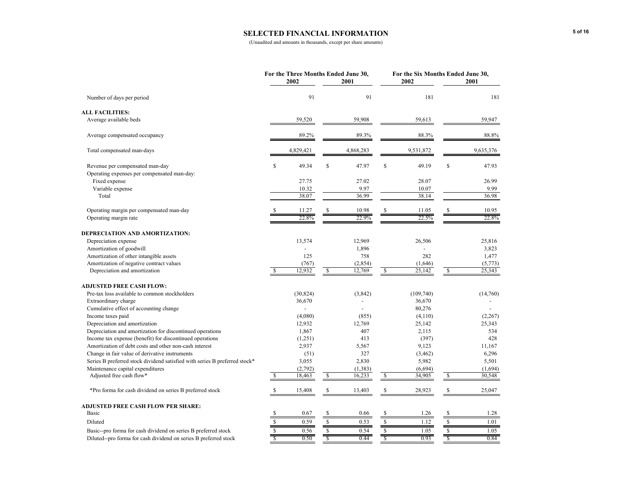## **SELECTED FINANCIAL INFORMATION**

|                                                                            |                 | For the Three Months Ended June 30,<br>2002 |                         | 2001           |                | For the Six Months Ended June 30,<br>2002 |                         | 2001      |
|----------------------------------------------------------------------------|-----------------|---------------------------------------------|-------------------------|----------------|----------------|-------------------------------------------|-------------------------|-----------|
| Number of days per period                                                  |                 | 91                                          |                         | 91             |                | 181                                       |                         | 181       |
| <b>ALL FACILITIES:</b>                                                     |                 |                                             |                         |                |                |                                           |                         |           |
| Average available beds                                                     |                 | 59,520                                      |                         | 59,908         |                | 59,613                                    |                         | 59,947    |
| Average compensated occupancy                                              |                 | 89.2%                                       |                         | 89.3%          |                | 88.3%                                     |                         | 88.8%     |
| Total compensated man-days                                                 |                 | 4,829,421                                   |                         | 4,868,283      |                | 9,531,872                                 |                         | 9,635,376 |
| Revenue per compensated man-day                                            | \$              | 49.34                                       | \$                      | 47.97          | \$             | 49.19                                     | \$                      | 47.93     |
| Operating expenses per compensated man-day:                                |                 |                                             |                         |                |                |                                           |                         |           |
| Fixed expense                                                              |                 | 27.75                                       |                         | 27.02          |                | 28.07                                     |                         | 26.99     |
| Variable expense                                                           |                 | 10.32                                       |                         | 9.97           |                | 10.07                                     |                         | 9.99      |
| Total                                                                      |                 | 38.07                                       |                         | 36.99          |                | 38.14                                     |                         | 36.98     |
| Operating margin per compensated man-day                                   |                 | 11.27                                       |                         | 10.98          |                | 11.05                                     |                         | 10.95     |
| Operating margin rate                                                      |                 | 22.8%                                       |                         | 22.9%          |                | 22.5%                                     |                         | 22.8%     |
| DEPRECIATION AND AMORTIZATION:                                             |                 |                                             |                         |                |                |                                           |                         |           |
| Depreciation expense                                                       |                 | 13,574                                      |                         | 12,969         |                | 26,506                                    |                         | 25,816    |
| Amortization of goodwill                                                   |                 |                                             |                         | 1,896          |                | L,                                        |                         | 3,823     |
| Amortization of other intangible assets                                    |                 | 125                                         |                         | 758            |                | 282                                       |                         | 1,477     |
| Amortization of negative contract values                                   |                 | (767)                                       |                         | (2, 854)       |                | (1,646)                                   |                         | (5,773)   |
| Depreciation and amortization                                              | \$              | 12,932                                      | S                       | 12,769         | -S             | 25,142                                    | \$                      | 25,343    |
| <b>ADJUSTED FREE CASH FLOW:</b>                                            |                 |                                             |                         |                |                |                                           |                         |           |
| Pre-tax loss available to common stockholders                              |                 | (30, 824)                                   |                         | (3,842)        |                | (109, 740)                                |                         | (14,760)  |
| Extraordinary charge                                                       |                 | 36,670                                      |                         | $\overline{a}$ |                | 36,670                                    |                         |           |
| Cumulative effect of accounting change                                     |                 |                                             |                         |                |                | 80,276                                    |                         |           |
| Income taxes paid                                                          |                 | (4,080)                                     |                         | (855)          |                | (4,110)                                   |                         | (2, 267)  |
| Depreciation and amortization                                              |                 | 12,932                                      |                         | 12,769         |                | 25,142                                    |                         | 25,343    |
| Depreciation and amortization for discontinued operations                  |                 | 1,867                                       |                         | 407            |                | 2,115                                     |                         | 534       |
|                                                                            |                 |                                             |                         |                |                |                                           |                         | 428       |
| Income tax expense (benefit) for discontinued operations                   |                 | (1,251)                                     |                         | 413            |                | (397)                                     |                         |           |
| Amortization of debt costs and other non-cash interest                     |                 | 2,937                                       |                         | 5,567          |                | 9,123                                     |                         | 11,167    |
| Change in fair value of derivative instruments                             |                 | (51)                                        |                         | 327            |                | (3, 462)                                  |                         | 6,296     |
| Series B preferred stock dividend satisfied with series B preferred stock* |                 | 3,055                                       |                         | 2,830          |                | 5,982                                     |                         | 5,501     |
| Maintenance capital expenditures                                           |                 | (2,792)                                     |                         | (1, 383)       |                | (6, 694)                                  |                         | (1,694)   |
| Adjusted free cash flow*                                                   | S               | 18,463                                      | \$                      | 16,233         | <b>S</b>       | 34,905                                    | \$                      | 30,548    |
| *Pro forma for cash dividend on series B preferred stock                   | S               | 15,408                                      | S                       | 13,403         | S              | 28,923                                    | S                       | 25,047    |
| <b>ADJUSTED FREE CASH FLOW PER SHARE:</b>                                  |                 |                                             |                         |                |                |                                           |                         |           |
| <b>Basic</b>                                                               | \$              | 0.67                                        | \$                      | 0.66           | \$             | 1.26                                      | \$                      | 1.28      |
| Diluted                                                                    | \$              | 0.59                                        | \$                      | 0.53           | $\sqrt{s}$     | 1.12                                      | \$                      | 1.01      |
| Basic--pro forma for cash dividend on series B preferred stock             | $\frac{\$}{\$}$ | 0.56                                        | \$                      | 0.54           | $\mathbb{S}$   | 1.05                                      | \$                      | 1.05      |
| Diluted--pro forma for cash dividend on series B preferred stock           |                 | 0.50                                        | $\overline{\mathsf{s}}$ | 0.44           | $\overline{s}$ | 0.93                                      | $\overline{\mathbf{S}}$ | 0.84      |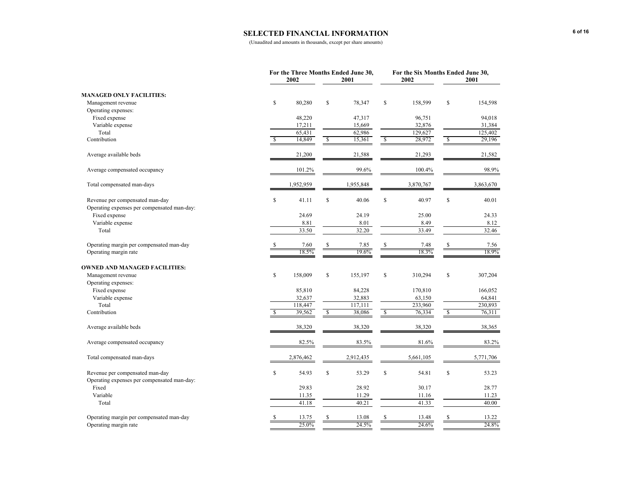## **SELECTED FINANCIAL INFORMATION**

|                                             |     | For the Three Months Ended June 30,<br>2002 |              | 2001      |                         | 2002      | For the Six Months Ended June 30,<br>2001 |           |  |  |
|---------------------------------------------|-----|---------------------------------------------|--------------|-----------|-------------------------|-----------|-------------------------------------------|-----------|--|--|
| <b>MANAGED ONLY FACILITIES:</b>             |     |                                             |              |           |                         |           |                                           |           |  |  |
| Management revenue                          | \$  | 80,280                                      | \$           | 78,347    | \$                      | 158,599   | \$                                        | 154,598   |  |  |
| Operating expenses:                         |     |                                             |              |           |                         |           |                                           |           |  |  |
| Fixed expense                               |     | 48,220                                      |              | 47,317    |                         | 96,751    |                                           | 94,018    |  |  |
| Variable expense                            |     | 17,211                                      |              | 15,669    |                         | 32,876    |                                           | 31,384    |  |  |
| Total                                       |     | 65,431                                      |              | 62,986    |                         | 129,627   |                                           | 125,402   |  |  |
| Contribution                                | \$. | 14,849                                      | \$           | 15,361    | $\sqrt{2}$              | 28,972    | $\sqrt{2}$                                | 29,196    |  |  |
| Average available beds                      |     | 21,200                                      |              | 21,588    |                         | 21,293    |                                           | 21,582    |  |  |
| Average compensated occupancy               |     | 101.2%                                      |              | 99.6%     |                         | 100.4%    |                                           | 98.9%     |  |  |
| Total compensated man-days                  |     | 1,952,959                                   |              | 1,955,848 |                         | 3,870,767 |                                           | 3,863,670 |  |  |
| Revenue per compensated man-day             | \$  | 41.11                                       | \$           | 40.06     | $\mathbf S$             | 40.97     | $\mathbb{S}$                              | 40.01     |  |  |
| Operating expenses per compensated man-day: |     |                                             |              |           |                         |           |                                           |           |  |  |
| Fixed expense                               |     | 24.69                                       |              | 24.19     |                         | 25.00     |                                           | 24.33     |  |  |
| Variable expense                            |     | 8.81                                        |              | 8.01      |                         | 8.49      |                                           | 8.12      |  |  |
| Total                                       |     | 33.50                                       |              | 32.20     |                         | 33.49     |                                           | 32.46     |  |  |
| Operating margin per compensated man-day    |     | 7.60                                        |              | 7.85      |                         | 7.48      | \$                                        | 7.56      |  |  |
| Operating margin rate                       |     | 18.5%                                       |              | 19.6%     |                         | 18.3%     |                                           | 18.9%     |  |  |
| <b>OWNED AND MANAGED FACILITIES:</b>        |     |                                             |              |           |                         |           |                                           |           |  |  |
| Management revenue                          | \$  | 158,009                                     | \$           | 155,197   | $\mathbb S$             | 310,294   | \$                                        | 307,204   |  |  |
| Operating expenses:                         |     |                                             |              |           |                         |           |                                           |           |  |  |
| Fixed expense                               |     | 85,810                                      |              | 84,228    |                         | 170,810   |                                           | 166,052   |  |  |
| Variable expense                            |     | 32,637                                      |              | 32,883    |                         | 63,150    |                                           | 64,841    |  |  |
| Total                                       |     | 118,447                                     |              | 117,111   |                         | 233,960   |                                           | 230,893   |  |  |
| Contribution                                | S   | 39,562                                      | $\mathbf{s}$ | 38,086    | $\overline{\mathbf{s}}$ | 76,334    | $\mathcal{S}$                             | 76,311    |  |  |
| Average available beds                      |     | 38,320                                      |              | 38,320    |                         | 38,320    |                                           | 38,365    |  |  |
| Average compensated occupancy               |     | 82.5%                                       |              | 83.5%     |                         | 81.6%     |                                           | 83.2%     |  |  |
| Total compensated man-days                  |     | 2,876,462                                   |              | 2,912,435 |                         | 5,661,105 |                                           | 5,771,706 |  |  |
| Revenue per compensated man-day             | \$  | 54.93                                       | \$           | 53.29     | \$                      | 54.81     | \$                                        | 53.23     |  |  |
| Operating expenses per compensated man-day: |     |                                             |              |           |                         |           |                                           |           |  |  |
| Fixed                                       |     | 29.83                                       |              | 28.92     |                         | 30.17     |                                           | 28.77     |  |  |
| Variable                                    |     | 11.35                                       |              | 11.29     |                         | 11.16     |                                           | 11.23     |  |  |
| Total                                       |     | 41.18                                       |              | 40.21     |                         | 41.33     |                                           | 40.00     |  |  |
| Operating margin per compensated man-day    | \$  | 13.75                                       | S.           | 13.08     | S                       | 13.48     | \$                                        | 13.22     |  |  |
| Operating margin rate                       |     | 25.0%                                       |              | 24.5%     |                         | 24.6%     |                                           | 24.8%     |  |  |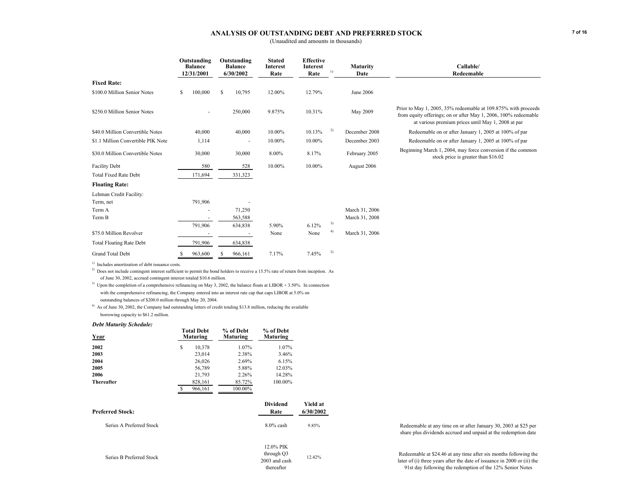### **ANALYSIS OF OUTSTANDING DEBT AND PREFERRED STOCK**

(Unaudited and amounts in thousands)

|                                    | Outstanding<br><b>Balance</b><br>12/31/2001 |   | Outstanding<br><b>Balance</b><br>6/30/2002 | <b>Stated</b><br><b>Interest</b><br>Rate | <b>Effective</b><br>Interest<br>Rate | <b>Maturity</b><br>1)<br>Date |                | Callable/<br>Redeemable                                                                                                                                                                 |
|------------------------------------|---------------------------------------------|---|--------------------------------------------|------------------------------------------|--------------------------------------|-------------------------------|----------------|-----------------------------------------------------------------------------------------------------------------------------------------------------------------------------------------|
| <b>Fixed Rate:</b>                 |                                             |   |                                            |                                          |                                      |                               |                |                                                                                                                                                                                         |
| \$100.0 Million Senior Notes       | \$<br>100,000                               | S | 10,795                                     | 12.00%                                   | 12.79%                               |                               | June 2006      |                                                                                                                                                                                         |
| \$250.0 Million Senior Notes       |                                             |   | 250,000                                    | 9.875%                                   | 10.31%                               |                               | May 2009       | Prior to May 1, 2005, 35% redeemable at 109.875% with proceeds<br>from equity offerings; on or after May 1, 2006, 100% redeemable<br>at various premium prices until May 1, 2008 at par |
| \$40.0 Million Convertible Notes   | 40,000                                      |   | 40,000                                     | 10.00%                                   | 10.13%                               | 2)                            | December 2008  | Redeemable on or after January 1, 2005 at 100% of par                                                                                                                                   |
| \$1.1 Million Convertible PIK Note | 1,114                                       |   | ٠                                          | 10.00%                                   | 10.00%                               |                               | December 2003  | Redeemable on or after January 1, 2005 at 100% of par                                                                                                                                   |
| \$30.0 Million Convertible Notes   | 30,000                                      |   | 30,000                                     | 8.00%                                    | 8.17%                                |                               | February 2005  | Beginning March 1, 2004, may force conversion if the common<br>stock price is greater than \$16.02                                                                                      |
| <b>Facility Debt</b>               | 580                                         |   | 528                                        | 10.00%                                   | 10.00%                               |                               | August 2006    |                                                                                                                                                                                         |
| <b>Total Fixed Rate Debt</b>       | 171,694                                     |   | 331,323                                    |                                          |                                      |                               |                |                                                                                                                                                                                         |
| <b>Floating Rate:</b>              |                                             |   |                                            |                                          |                                      |                               |                |                                                                                                                                                                                         |
| Lehman Credit Facility:            |                                             |   |                                            |                                          |                                      |                               |                |                                                                                                                                                                                         |
| Term, net                          | 791,906                                     |   |                                            |                                          |                                      |                               |                |                                                                                                                                                                                         |
| Term A                             |                                             |   | 71,250                                     |                                          |                                      |                               | March 31, 2006 |                                                                                                                                                                                         |
| Term B                             |                                             |   | 563,588                                    |                                          |                                      |                               | March 31, 2008 |                                                                                                                                                                                         |
|                                    | 791,906                                     |   | 634,838                                    | 5.90%                                    | 6.12%                                | 3)                            |                |                                                                                                                                                                                         |
| \$75.0 Million Revolver            |                                             |   |                                            | None                                     | None                                 | 4)                            | March 31, 2006 |                                                                                                                                                                                         |
| <b>Total Floating Rate Debt</b>    | 791,906                                     |   | 634,838                                    |                                          |                                      |                               |                |                                                                                                                                                                                         |
| <b>Grand Total Debt</b>            | 963,600                                     |   | 966,161                                    | 7.17%                                    | 7.45%                                | 2)                            |                |                                                                                                                                                                                         |

<sup>1)</sup> Includes amortization of debt issuance costs.

<sup>2)</sup> Does not include contingent interest sufficient to permit the bond holders to receive a 15.5% rate of return from inception. As of June 30, 2002, accrued contingent interest totaled \$10.6 million.

<sup>3)</sup> Upon the completion of a comprehensive refinancing on May 3, 2002, the balance floats at LIBOR + 3.50%. In connection with the comprehensive refinancing, the Company entered into an interest rate cap that caps LIBOR at 5.0% on outstanding balances of \$200.0 million through May 20, 2004.

<sup>4)</sup> As of June 30, 2002, the Company had outstanding letters of credit totaling \$13.8 million, reducing the available borrowing capacity to \$61.2 million.

#### *Debt Maturity Schedule:*

| Year                     | <b>Total Debt</b><br><b>Maturing</b> | % of Debt<br>Maturing | % of Debt<br>Maturing                                  |                       |
|--------------------------|--------------------------------------|-----------------------|--------------------------------------------------------|-----------------------|
| 2002                     | \$<br>10,378                         | 1.07%                 | 1.07%                                                  |                       |
| 2003                     | 23,014                               | 2.38%                 | 3.46%                                                  |                       |
| 2004                     | 26,026                               | 2.69%                 | 6.15%                                                  |                       |
| 2005                     | 56,789                               | 5.88%                 | 12.03%                                                 |                       |
| 2006                     | 21,793                               | 2.26%                 | 14.28%                                                 |                       |
| <b>Thereafter</b>        | 828,161                              | 85.72%                | 100.00%                                                |                       |
|                          | \$<br>966,161                        | 100.00%               |                                                        |                       |
| <b>Preferred Stock:</b>  |                                      |                       | Dividend<br>Rate                                       | Yield at<br>6/30/2002 |
| Series A Preferred Stock |                                      |                       | $8.0\%$ cash                                           | 9.85%                 |
| Series B Preferred Stock |                                      |                       | 12.0% PIK<br>through Q3<br>2003 and cash<br>thereafter | 12.42%                |

 Redeemable at any time on or after January 30, 2003 at \$25 per share plus dividends accrued and unpaid at the redemption date

Redeemable at \$24.46 at any time after six months following the later of (i) three years after the date of issuance in 2000 or (ii) the 91st day following the redemption of the 12% Senior Notes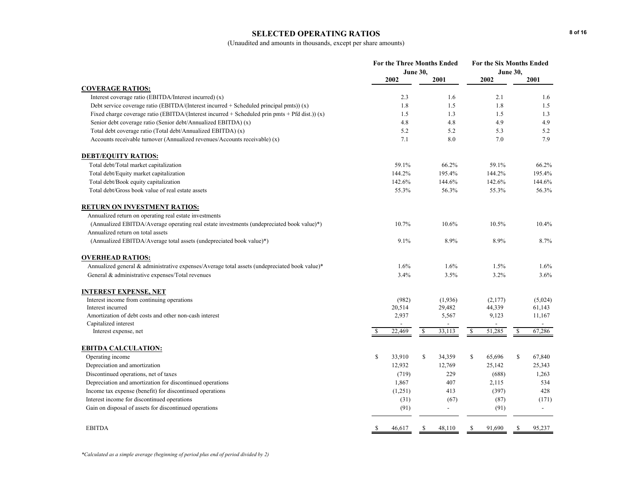### **SELECTED OPERATING RATIOS**

|                                                                                                  | <b>For the Three Months Ended</b><br><b>June 30,</b> |         |               |                |               | <b>For the Six Months Ended</b> | <b>June 30.</b> |               |
|--------------------------------------------------------------------------------------------------|------------------------------------------------------|---------|---------------|----------------|---------------|---------------------------------|-----------------|---------------|
|                                                                                                  |                                                      | 2002    |               | 2001           |               | 2002                            |                 | 2001          |
| <b>COVERAGE RATIOS:</b>                                                                          |                                                      |         |               |                |               |                                 |                 |               |
| Interest coverage ratio (EBITDA/Interest incurred) (x)                                           |                                                      | 2.3     |               | 1.6            |               | 2.1                             |                 | 1.6           |
| Debt service coverage ratio (EBITDA/(Interest incurred $+$ Scheduled principal pmts)) (x)        |                                                      | 1.8     |               | 1.5            |               | 1.8                             |                 | 1.5           |
| Fixed charge coverage ratio (EBITDA/(Interest incurred + Scheduled prin pmts + Pfd dist.)) (x)   |                                                      | 1.5     |               | 1.3            |               | 1.5                             |                 | 1.3           |
| Senior debt coverage ratio (Senior debt/Annualized EBITDA) (x)                                   |                                                      | 4.8     |               | 4.8            |               | 4.9                             |                 | 4.9           |
| Total debt coverage ratio (Total debt/Annualized EBITDA) (x)                                     |                                                      | 5.2     |               | 5.2            |               | 5.3                             |                 | 5.2           |
| Accounts receivable turnover (Annualized revenues/Accounts receivable) (x)                       |                                                      | 7.1     |               | 8.0            |               | 7.0                             |                 | 7.9           |
| <b>DEBT/EQUITY RATIOS:</b>                                                                       |                                                      |         |               |                |               |                                 |                 |               |
| Total debt/Total market capitalization                                                           |                                                      | 59.1%   |               | 66.2%          |               | 59.1%                           |                 | 66.2%         |
| Total debt/Equity market capitalization                                                          |                                                      | 144.2%  |               | 195.4%         |               | 144.2%                          |                 | 195.4%        |
| Total debt/Book equity capitalization                                                            |                                                      | 142.6%  |               | 144.6%         |               | 142.6%                          |                 | 144.6%        |
| Total debt/Gross book value of real estate assets                                                |                                                      | 55.3%   |               | 56.3%          |               | 55.3%                           |                 | 56.3%         |
| <b>RETURN ON INVESTMENT RATIOS:</b>                                                              |                                                      |         |               |                |               |                                 |                 |               |
| Annualized return on operating real estate investments                                           |                                                      |         |               |                |               |                                 |                 |               |
| (Annualized EBITDA/Average operating real estate investments (undepreciated book value)*)        |                                                      | 10.7%   |               | 10.6%          |               | 10.5%                           |                 | 10.4%         |
| Annualized return on total assets                                                                |                                                      |         |               |                |               |                                 |                 |               |
| (Annualized EBITDA/Average total assets (undepreciated book value)*)                             |                                                      | 9.1%    |               | 8.9%           |               | 8.9%                            |                 | 8.7%          |
| <b>OVERHEAD RATIOS:</b>                                                                          |                                                      |         |               |                |               |                                 |                 |               |
| Annualized general $\&$ administrative expenses/Average total assets (undepreciated book value)* |                                                      | 1.6%    |               | 1.6%           |               | 1.5%                            |                 | 1.6%          |
| General & administrative expenses/Total revenues                                                 |                                                      | 3.4%    |               | 3.5%           |               | 3.2%                            |                 | 3.6%          |
| <b>INTEREST EXPENSE, NET</b>                                                                     |                                                      |         |               |                |               |                                 |                 |               |
| Interest income from continuing operations                                                       |                                                      | (982)   |               | (1,936)        |               | (2,177)                         |                 | (5,024)       |
| Interest incurred                                                                                |                                                      | 20,514  |               | 29,482         |               | 44,339                          |                 | 61,143        |
| Amortization of debt costs and other non-cash interest                                           |                                                      | 2,937   |               | 5,567          |               | 9,123                           |                 | 11,167        |
| Capitalized interest                                                                             |                                                      |         |               |                |               |                                 |                 |               |
| Interest expense, net                                                                            |                                                      | 22,469  | \$            | 33,113         | <sup>\$</sup> | 51,285                          | <sup>\$</sup>   | 67,286        |
| <b>EBITDA CALCULATION:</b>                                                                       |                                                      |         |               |                |               |                                 |                 |               |
| Operating income                                                                                 | $\mathbb{S}$                                         | 33,910  | \$            | 34,359         | \$            | 65,696                          | \$              | 67,840        |
| Depreciation and amortization                                                                    |                                                      | 12,932  |               | 12,769         |               | 25,142                          |                 | 25,343        |
| Discontinued operations, net of taxes                                                            |                                                      | (719)   |               | 229            |               | (688)                           |                 | 1,263         |
| Depreciation and amortization for discontinued operations                                        |                                                      | 1,867   |               | 407            |               | 2,115                           |                 | 534           |
| Income tax expense (benefit) for discontinued operations                                         |                                                      | (1,251) |               | 413            |               | (397)                           |                 | 428           |
| Interest income for discontinued operations                                                      |                                                      | (31)    |               | (67)           |               | (87)                            |                 | (171)         |
| Gain on disposal of assets for discontinued operations                                           |                                                      | (91)    |               | $\overline{a}$ |               | (91)                            |                 | $\mathcal{L}$ |
| <b>EBITDA</b>                                                                                    | S.                                                   | 46,617  | <sup>\$</sup> | 48,110         | \$            | 91,690                          | <sup>\$</sup>   | 95,237        |
|                                                                                                  |                                                      |         |               |                |               |                                 |                 |               |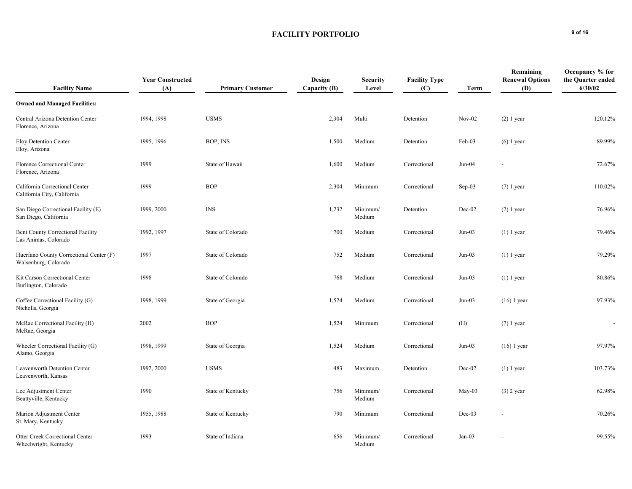## **FACILITY PORTFOLIO** 9 of 16

| <b>Facility Name</b>                                             | <b>Year Constructed</b><br>(A) | <b>Primary Customer</b> | Design<br>Capacity (B) | <b>Security</b><br>Level | <b>Facility Type</b><br>(C) | Term     | Remaining<br><b>Renewal Options</b><br><b>(D)</b> | Occupancy % for<br>the Quarter ended<br>6/30/02 |
|------------------------------------------------------------------|--------------------------------|-------------------------|------------------------|--------------------------|-----------------------------|----------|---------------------------------------------------|-------------------------------------------------|
| <b>Owned and Managed Facilities:</b>                             |                                |                         |                        |                          |                             |          |                                                   |                                                 |
| Central Arizona Detention Center<br>Florence, Arizona            | 1994, 1998                     | <b>USMS</b>             | 2,304                  | Multi                    | Detention                   | $Nov-02$ | $(2)$ 1 year                                      | 120.12%                                         |
| Eloy Detention Center<br>Eloy, Arizona                           | 1995, 1996                     | BOP, INS                | 1,500                  | Medium                   | Detention                   | Feb-03   | $(6)$ 1 year                                      | 89.99%                                          |
| Florence Correctional Center<br>Florence, Arizona                | 1999                           | State of Hawaii         | 1,600                  | Medium                   | Correctional                | $Jun-04$ |                                                   | 72.67%                                          |
| California Correctional Center<br>California City, California    | 1999                           | <b>BOP</b>              | 2,304                  | Minimum                  | Correctional                | $Sep-03$ | $(7)$ 1 year                                      | 110.02%                                         |
| San Diego Correctional Facility (E)<br>San Diego, California     | 1999, 2000                     | <b>INS</b>              | 1,232                  | Minimum/<br>Medium       | Detention                   | Dec-02   | $(2)$ 1 year                                      | 76.96%                                          |
| <b>Bent County Correctional Facility</b><br>Las Animas, Colorado | 1992, 1997                     | State of Colorado       | 700                    | Medium                   | Correctional                | $Jun-03$ | $(1)$ 1 year                                      | 79.46%                                          |
| Huerfano County Correctional Center (F)<br>Walsenburg, Colorado  | 1997                           | State of Colorado       | 752                    | Medium                   | Correctional                | $Jun-03$ | $(1)$ 1 year                                      | 79.29%                                          |
| Kit Carson Correctional Center<br>Burlington, Colorado           | 1998                           | State of Colorado       | 768                    | Medium                   | Correctional                | $Jun-03$ | $(1)$ 1 year                                      | 80.86%                                          |
| Coffee Correctional Facility (G)<br>Nicholls, Georgia            | 1998, 1999                     | State of Georgia        | 1,524                  | Medium                   | Correctional                | $Jun-03$ | $(16)$ 1 year                                     | 97.93%                                          |
| McRae Correctional Facility (H)<br>McRae, Georgia                | 2002                           | <b>BOP</b>              | 1,524                  | Minimum                  | Correctional                | (H)      | $(7)$ 1 year                                      | $\overline{\phantom{a}}$                        |
| Wheeler Correctional Facility (G)<br>Alamo, Georgia              | 1998, 1999                     | State of Georgia        | 1,524                  | Medium                   | Correctional                | $Jun-03$ | $(16)$ 1 year                                     | 97.97%                                          |
| Leavenworth Detention Center<br>Leavenworth, Kansas              | 1992, 2000                     | <b>USMS</b>             | 483                    | Maximum                  | Detention                   | Dec-02   | $(1)$ 1 year                                      | 103.73%                                         |
| Lee Adjustment Center<br>Beattyville, Kentucky                   | 1990                           | State of Kentucky       | 756                    | Minimum/<br>Medium       | Correctional                | May-03   | $(3)$ 2 year                                      | 62.98%                                          |
| Marion Adjustment Center<br>St. Mary, Kentucky                   | 1955, 1988                     | State of Kentucky       | 790                    | Minimum                  | Correctional                | $Dec-03$ |                                                   | 70.26%                                          |
| Otter Creek Correctional Center<br>Wheelwright, Kentucky         | 1993                           | State of Indiana        | 656                    | Minimum/<br>Medium       | Correctional                | $Jan-03$ |                                                   | 99.55%                                          |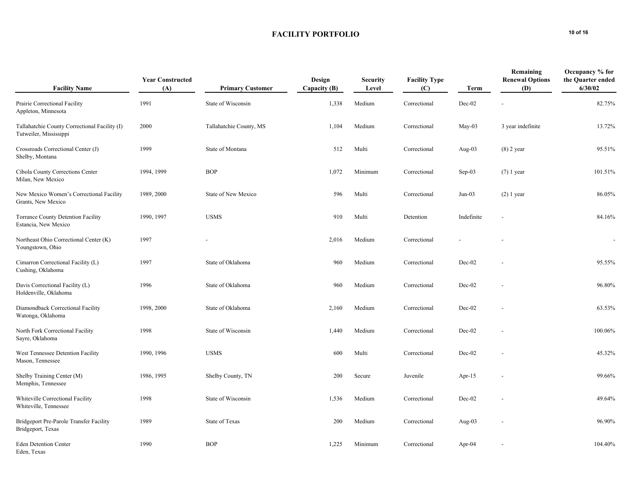## FACILITY PORTFOLIO
<sup>10</sup> of 16

| <b>Facility Name</b>                                                    | <b>Year Constructed</b><br>(A) | <b>Primary Customer</b> | Design<br>Capacity (B) | <b>Security</b><br>Level | <b>Facility Type</b><br>(C) | <b>Term</b> | Remaining<br><b>Renewal Options</b><br>(D) | Occupancy % for<br>the Quarter ended<br>6/30/02 |
|-------------------------------------------------------------------------|--------------------------------|-------------------------|------------------------|--------------------------|-----------------------------|-------------|--------------------------------------------|-------------------------------------------------|
| Prairie Correctional Facility<br>Appleton, Minnesota                    | 1991                           | State of Wisconsin      | 1,338                  | Medium                   | Correctional                | Dec-02      |                                            | 82.75%                                          |
| Tallahatchie County Correctional Facility (I)<br>Tutweiler, Mississippi | 2000                           | Tallahatchie County, MS | 1,104                  | Medium                   | Correctional                | $May-03$    | 3 year indefinite                          | 13.72%                                          |
| Crossroads Correctional Center (J)<br>Shelby, Montana                   | 1999                           | State of Montana        | 512                    | Multi                    | Correctional                | Aug- $03$   | $(8)$ 2 year                               | 95.51%                                          |
| Cibola County Corrections Center<br>Milan, New Mexico                   | 1994, 1999                     | <b>BOP</b>              | 1,072                  | Minimum                  | Correctional                | Sep-03      | $(7)$ 1 year                               | 101.51%                                         |
| New Mexico Women's Correctional Facility<br>Grants, New Mexico          | 1989, 2000                     | State of New Mexico     | 596                    | Multi                    | Correctional                | $Jun-03$    | $(2)$ 1 year                               | 86.05%                                          |
| <b>Torrance County Detention Facility</b><br>Estancia, New Mexico       | 1990, 1997                     | <b>USMS</b>             | 910                    | Multi                    | Detention                   | Indefinite  | $\overline{\phantom{a}}$                   | 84.16%                                          |
| Northeast Ohio Correctional Center (K)<br>Youngstown, Ohio              | 1997                           |                         | 2,016                  | Medium                   | Correctional                |             |                                            |                                                 |
| Cimarron Correctional Facility (L)<br>Cushing, Oklahoma                 | 1997                           | State of Oklahoma       | 960                    | Medium                   | Correctional                | $Dec-02$    |                                            | 95.55%                                          |
| Davis Correctional Facility (L)<br>Holdenville, Oklahoma                | 1996                           | State of Oklahoma       | 960                    | Medium                   | Correctional                | Dec-02      |                                            | 96.80%                                          |
| Diamondback Correctional Facility<br>Watonga, Oklahoma                  | 1998, 2000                     | State of Oklahoma       | 2,160                  | Medium                   | Correctional                | Dec-02      |                                            | 63.53%                                          |
| North Fork Correctional Facility<br>Sayre, Oklahoma                     | 1998                           | State of Wisconsin      | 1,440                  | Medium                   | Correctional                | Dec-02      |                                            | 100.06%                                         |
| West Tennessee Detention Facility<br>Mason, Tennessee                   | 1990, 1996                     | <b>USMS</b>             | 600                    | Multi                    | Correctional                | $Dec-02$    |                                            | 45.32%                                          |
| Shelby Training Center (M)<br>Memphis, Tennessee                        | 1986, 1995                     | Shelby County, TN       | 200                    | Secure                   | Juvenile                    | Apr- $15$   |                                            | 99.66%                                          |
| Whiteville Correctional Facility<br>Whiteville, Tennessee               | 1998                           | State of Wisconsin      | 1,536                  | Medium                   | Correctional                | $Dec-02$    |                                            | 49.64%                                          |
| Bridgeport Pre-Parole Transfer Facility<br>Bridgeport, Texas            | 1989                           | State of Texas          | 200                    | Medium                   | Correctional                | Aug- $03$   |                                            | 96.90%                                          |
| <b>Eden Detention Center</b><br>Eden, Texas                             | 1990                           | <b>BOP</b>              | 1,225                  | Minimum                  | Correctional                | Apr- $04$   |                                            | 104.40%                                         |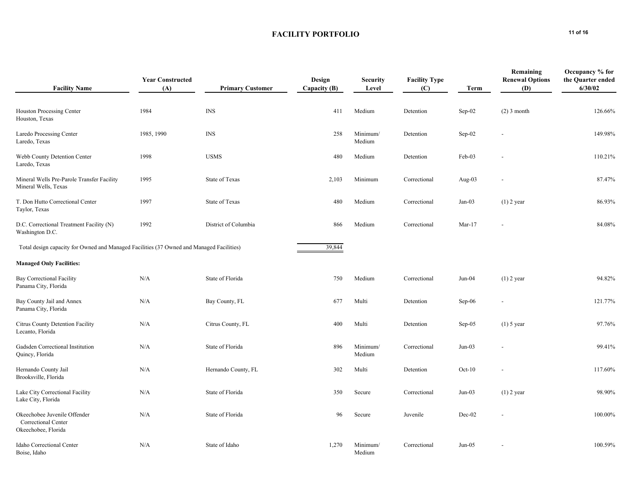## FACILITY PORTFOLIO
<sup>11 of 16</sup>

| <b>Facility Name</b>                                                                     | <b>Year Constructed</b><br>(A) | <b>Primary Customer</b>          | Design<br>Capacity (B) | <b>Security</b><br>Level | <b>Facility Type</b><br>(C) | Term      | Remaining<br><b>Renewal Options</b><br><b>(D)</b> | Occupancy % for<br>the Quarter ended<br>6/30/02 |
|------------------------------------------------------------------------------------------|--------------------------------|----------------------------------|------------------------|--------------------------|-----------------------------|-----------|---------------------------------------------------|-------------------------------------------------|
| Houston Processing Center<br>Houston, Texas                                              | 1984                           | $\mathbb{I}\mathsf{N}\mathsf{S}$ | 411                    | Medium                   | Detention                   | Sep-02    | $(2)$ 3 month                                     | 126.66%                                         |
| Laredo Processing Center<br>Laredo, Texas                                                | 1985, 1990                     | <b>INS</b>                       | 258                    | Minimum/<br>Medium       | Detention                   | Sep-02    | $\overline{\phantom{a}}$                          | 149.98%                                         |
| Webb County Detention Center<br>Laredo, Texas                                            | 1998                           | <b>USMS</b>                      | 480                    | Medium                   | Detention                   | Feb-03    |                                                   | 110.21%                                         |
| Mineral Wells Pre-Parole Transfer Facility<br>Mineral Wells, Texas                       | 1995                           | State of Texas                   | 2,103                  | Minimum                  | Correctional                | Aug- $03$ |                                                   | 87.47%                                          |
| T. Don Hutto Correctional Center<br>Taylor, Texas                                        | 1997                           | <b>State of Texas</b>            | 480                    | Medium                   | Correctional                | $Jan-03$  | $(1)$ 2 year                                      | 86.93%                                          |
| D.C. Correctional Treatment Facility (N)<br>Washington D.C.                              | 1992                           | District of Columbia             | 866                    | Medium                   | Correctional                | $Mar-17$  |                                                   | 84.08%                                          |
| Total design capacity for Owned and Managed Facilities (37 Owned and Managed Facilities) |                                |                                  | 39,844                 |                          |                             |           |                                                   |                                                 |
| <b>Managed Only Facilities:</b>                                                          |                                |                                  |                        |                          |                             |           |                                                   |                                                 |
| <b>Bay Correctional Facility</b><br>Panama City, Florida                                 | N/A                            | State of Florida                 | 750                    | Medium                   | Correctional                | $Jun-04$  | $(1)$ 2 year                                      | 94.82%                                          |
| Bay County Jail and Annex<br>Panama City, Florida                                        | N/A                            | Bay County, FL                   | 677                    | Multi                    | Detention                   | Sep-06    |                                                   | 121.77%                                         |
| Citrus County Detention Facility<br>Lecanto, Florida                                     | N/A                            | Citrus County, FL                | 400                    | Multi                    | Detention                   | $Sep-05$  | $(1)$ 5 year                                      | 97.76%                                          |
| Gadsden Correctional Institution<br>Quincy, Florida                                      | N/A                            | State of Florida                 | 896                    | Minimum/<br>Medium       | Correctional                | $Jun-03$  |                                                   | 99.41%                                          |
| Hernando County Jail<br>Brooksville, Florida                                             | N/A                            | Hernando County, FL              | 302                    | Multi                    | Detention                   | $Oct-10$  |                                                   | 117.60%                                         |
| Lake City Correctional Facility<br>Lake City, Florida                                    | N/A                            | State of Florida                 | 350                    | Secure                   | Correctional                | $Jun-03$  | $(1)$ 2 year                                      | 98.90%                                          |
| Okeechobee Juvenile Offender<br>Correctional Center<br>Okeechobee, Florida               | N/A                            | State of Florida                 | 96                     | Secure                   | Juvenile                    | Dec-02    |                                                   | 100.00%                                         |
| Idaho Correctional Center<br>Boise, Idaho                                                | N/A                            | State of Idaho                   | 1,270                  | Minimum/<br>Medium       | Correctional                | $Jun-05$  |                                                   | 100.59%                                         |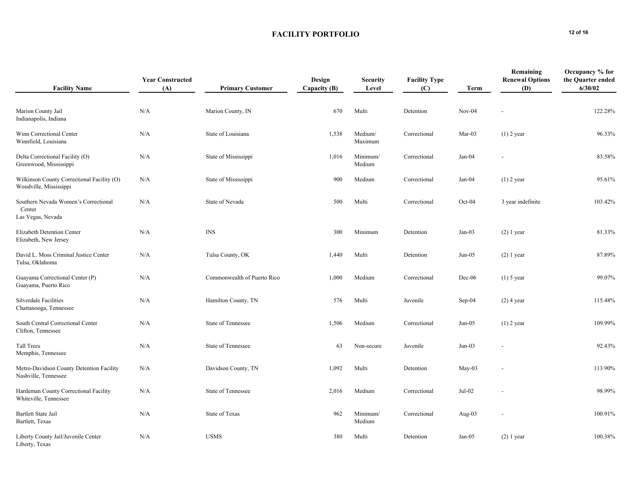## FACILITY PORTFOLIO
<sup>12 of 16</sup>

| <b>Facility Name</b>                                                 | <b>Year Constructed</b><br>(A) | <b>Primary Customer</b>     | Design<br>Capacity (B) | <b>Security</b><br>Level | <b>Facility Type</b><br>(C) | Term      | Remaining<br><b>Renewal Options</b><br>(D) | Occupancy % for<br>the Quarter ended<br>6/30/02 |
|----------------------------------------------------------------------|--------------------------------|-----------------------------|------------------------|--------------------------|-----------------------------|-----------|--------------------------------------------|-------------------------------------------------|
| Marion County Jail<br>Indianapolis, Indiana                          | N/A                            | Marion County, IN           | 670                    | Multi                    | Detention                   | $Nov-04$  |                                            | 122.28%                                         |
| Winn Correctional Center<br>Winnfield, Louisiana                     | N/A                            | State of Louisiana          | 1,538                  | Medium/<br>Maximum       | Correctional                | $Mar-03$  | $(1)$ 2 year                               | 96.33%                                          |
| Delta Correctional Facility (O)<br>Greenwood, Mississippi            | N/A                            | State of Mississippi        | 1,016                  | Minimum/<br>Medium       | Correctional                | Jan-04    |                                            | 83.58%                                          |
| Wilkinson County Correctional Facility (O)<br>Woodville, Mississippi | N/A                            | State of Mississippi        | 900                    | Medium                   | Correctional                | Jan-04    | $(1)$ 2 year                               | 95.61%                                          |
| Southern Nevada Women's Correctional<br>Center<br>Las Vegas, Nevada  | N/A                            | State of Nevada             | 500                    | Multi                    | Correctional                | Oct-04    | 3 year indefinite                          | 103.42%                                         |
| Elizabeth Detention Center<br>Elizabeth, New Jersey                  | N/A                            | INS                         | 300                    | Minimum                  | Detention                   | $Jan-03$  | $(2)$ 1 year                               | 81.33%                                          |
| David L. Moss Criminal Justice Center<br>Tulsa, Oklahoma             | N/A                            | Tulsa County, OK            | 1,440                  | Multi                    | Detention                   | $Jun-05$  | $(2)$ 1 year                               | 87.89%                                          |
| Guayama Correctional Center (P)<br>Guayama, Puerto Rico              | N/A                            | Commonwealth of Puerto Rico | 1,000                  | Medium                   | Correctional                | $Dec-06$  | $(1)$ 5 year                               | 99.07%                                          |
| Silverdale Facilities<br>Chattanooga, Tennessee                      | N/A                            | Hamilton County, TN         | 576                    | Multi                    | Juvenile                    | Sep-04    | $(2)$ 4 year                               | 115.48%                                         |
| South Central Correctional Center<br>Clifton, Tennessee              | N/A                            | State of Tennessee          | 1,506                  | Medium                   | Correctional                | $Jun-05$  | $(1)$ 2 year                               | 109.99%                                         |
| <b>Tall Trees</b><br>Memphis, Tennessee                              | N/A                            | <b>State of Tennessee</b>   | 63                     | Non-secure               | Juvenile                    | $Jun-03$  |                                            | 92.43%                                          |
| Metro-Davidson County Detention Facility<br>Nashville, Tennessee     | N/A                            | Davidson County, TN         | 1,092                  | Multi                    | Detention                   | $May-03$  |                                            | 113.90%                                         |
| Hardeman County Correctional Facility<br>Whiteville, Tennessee       | N/A                            | State of Tennessee          | 2,016                  | Medium                   | Correctional                | Jul-02    |                                            | 98.99%                                          |
| Bartlett State Jail<br>Bartlett, Texas                               | N/A                            | State of Texas              | 962                    | Minimum/<br>Medium       | Correctional                | Aug- $03$ |                                            | 100.91%                                         |
| Liberty County Jail/Juvenile Center<br>Liberty, Texas                | N/A                            | <b>USMS</b>                 | 380                    | Multi                    | Detention                   | Jan-05    | $(2)$ 1 year                               | 100.38%                                         |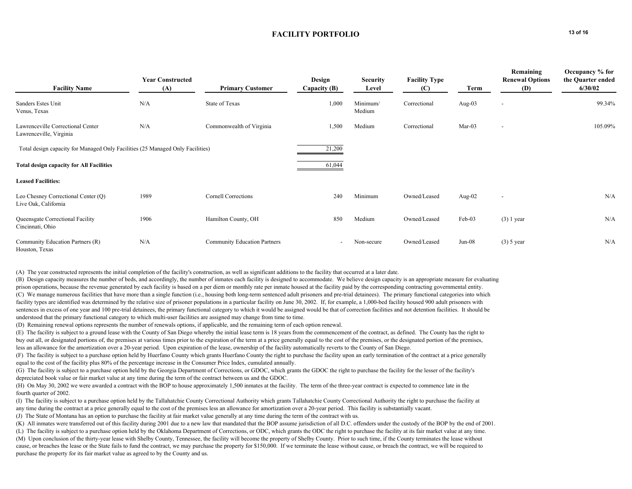## **FACILITY PORTFOLIO** 13 of 16

| <b>Facility Name</b>                                                           | <b>Year Constructed</b><br>(A) | <b>Primary Customer</b>             | Design<br>Capacity (B)   | <b>Security</b><br>Level | <b>Facility Type</b><br>(C) | Term      | Remaining<br><b>Renewal Options</b><br>(D) | Occupancy % for<br>the Quarter ended<br>6/30/02 |
|--------------------------------------------------------------------------------|--------------------------------|-------------------------------------|--------------------------|--------------------------|-----------------------------|-----------|--------------------------------------------|-------------------------------------------------|
| Sanders Estes Unit<br>Venus, Texas                                             | N/A                            | State of Texas                      | 1,000                    | Minimum/<br>Medium       | Correctional                | Aug- $03$ | $\overline{\phantom{a}}$                   | 99.34%                                          |
| Lawrenceville Correctional Center<br>Lawrenceville, Virginia                   | N/A                            | Commonwealth of Virginia            | 1,500                    | Medium                   | Correctional                | $Mar-03$  | $\overline{\phantom{a}}$                   | 105.09%                                         |
| Total design capacity for Managed Only Facilities (25 Managed Only Facilities) |                                |                                     | 21,200                   |                          |                             |           |                                            |                                                 |
| <b>Total design capacity for All Facilities</b>                                |                                |                                     | 61,044                   |                          |                             |           |                                            |                                                 |
| <b>Leased Facilities:</b>                                                      |                                |                                     |                          |                          |                             |           |                                            |                                                 |
| Leo Chesney Correctional Center (Q)<br>Live Oak, California                    | 1989                           | <b>Cornell Corrections</b>          | 240                      | Minimum                  | Owned/Leased                | Aug- $02$ | $\overline{\phantom{a}}$                   | N/A                                             |
| Queensgate Correctional Facility<br>Cincinnati, Ohio                           | 1906                           | Hamilton County, OH                 | 850                      | Medium                   | Owned/Leased                | Feb-03    | $(3)$ 1 year                               | N/A                                             |
| Community Education Partners (R)<br>Houston, Texas                             | N/A                            | <b>Community Education Partners</b> | $\overline{\phantom{a}}$ | Non-secure               | Owned/Leased                | $Jun-08$  | $(3)$ 5 year                               | N/A                                             |

(A) The year constructed represents the initial completion of the facility's construction, as well as significant additions to the facility that occurred at a later date.

(B) Design capacity measures the number of beds, and accordingly, the number of inmates each facility is designed to accommodate. We believe design capacity is an appropriate measure for evaluating prison operations, because the revenue generated by each facility is based on a per diem or monthly rate per inmate housed at the facility paid by the corresponding contracting governmental entity. (C) We manage numerous facilities that have more than a single function (i.e., housing both long-term sentenced adult prisoners and pre-trial detainees). The primary functional categories into which facility types are identified was determined by the relative size of prisoner populations in a particular facility on June 30, 2002. If, for example, a 1,000-bed facility housed 900 adult prisoners with sentences in excess of one year and 100 pre-trial detainees, the primary functional category to which it would be assigned would be that of correction facilities and not detention facilities. It should be understood that the primary functional category to which multi-user facilities are assigned may change from time to time.

(D) Remaining renewal options represents the number of renewals options, if applicable, and the remaining term of each option renewal.

(E) The facility is subject to a ground lease with the County of San Diego whereby the initial lease term is 18 years from the commencement of the contract, as defined. The County has the right to buy out all, or designated portions of, the premises at various times prior to the expiration of the term at a price generally equal to the cost of the premises, or the designated portion of the premises, less an allowance for the amortization over a 20-year period. Upon expiration of the lease, ownership of the facility automatically reverts to the County of San Diego.

(F) The facility is subject to a purchase option held by Huerfano County which grants Huerfano County the right to purchase the facility upon an early termination of the contract at a price generally equal to the cost of the facility plus 80% of the percentage increase in the Consumer Price Index, cumulated annually.

(G) The facility is subject to a purchase option held by the Georgia Department of Corrections, or GDOC, which grants the GDOC the right to purchase the facility for the lesser of the facility's depreciated book value or fair market value at any time during the term of the contract between us and the GDOC.

(H) On May 30, 2002 we were awarded a contract with the BOP to house approximately 1,500 inmates at the facility. The term of the three-year contract is expected to commence late in the fourth quarter of 2002.

(I) The facility is subject to a purchase option held by the Tallahatchie County Correctional Authority which grants Tallahatchie County Correctional Authority the right to purchase the facility at any time during the contract at a price generally equal to the cost of the premises less an allowance for amortization over a 20-year period. This facility is substantially vacant.

(J) The State of Montana has an option to purchase the facility at fair market value generally at any time during the term of the contract with us.

(K) All inmates were transferred out of this facility during 2001 due to a new law that mandated that the BOP assume jurisdiction of all D.C. offenders under the custody of the BOP by the end of 2001.

(L) The facility is subject to a purchase option held by the Oklahoma Department of Corrections, or ODC, which grants the ODC the right to purchase the facility at its fair market value at any time. (M) Upon conclusion of the thirty-year lease with Shelby County, Tennessee, the facility will become the property of Shelby County. Prior to such time, if the County terminates the lease without cause, or breaches the lease or the State fails to fund the contract, we may purchase the property for \$150,000. If we terminate the lease without cause, or breach the contract, we will be required to purchase the property for its fair market value as agreed to by the County and us.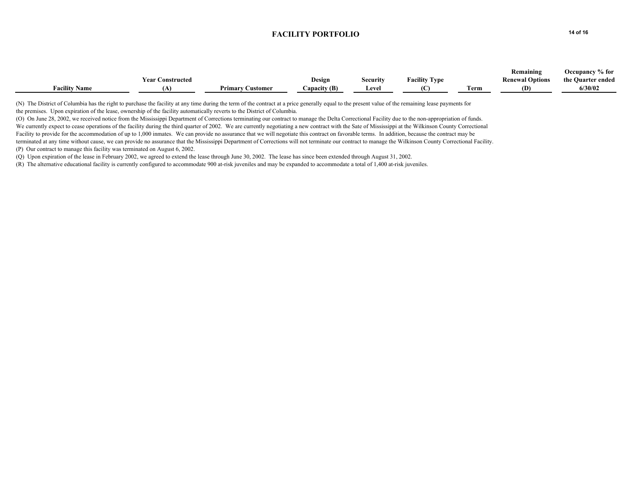## **FACILITY PORTFOLIO** 14 of 16

|                      |                  |                         |              |                 |                      |                            | Remaining              | $%$ for<br>Occupancy |
|----------------------|------------------|-------------------------|--------------|-----------------|----------------------|----------------------------|------------------------|----------------------|
|                      | Year Constructed |                         | Design       | <b>Security</b> | <b>Facility Type</b> |                            | <b>Renewal Options</b> | the Quarter ended    |
| <b>Facility Name</b> |                  | <b>Primary Customer</b> | Capacity (B) | Level           |                      | <b>CONTRACTOR</b><br>l'erm | (D)                    | 6/30/02              |
|                      |                  |                         |              |                 |                      |                            |                        |                      |

(N) The District of Columbia has the right to purchase the facility at any time during the term of the contract at a price generally equal to the present value of the remaining lease payments for the premises. Upon expiration of the lease, ownership of the facility automatically reverts to the District of Columbia.

(O) On June 28, 2002, we received notice from the Mississippi Department of Corrections terminating our contract to manage the Delta Correctional Facility due to the non-appropriation of funds. We currently expect to cease operations of the facility during the third quarter of 2002. We are currently negotiating a new contract with the Sate of Mississippi at the Wilkinson County Correctional Facility to provide for the accommodation of up to 1,000 inmates. We can provide no assurance that we will negotiate this contract on favorable terms. In addition, because the contract may be terminated at any time without cause, we can provide no assurance that the Mississippi Department of Corrections will not terminate our contract to manage the Wilkinson County Correctional Facility. (P) Our contract to manage this facility was terminated on August 6, 2002.

(Q) Upon expiration of the lease in February 2002, we agreed to extend the lease through June 30, 2002. The lease has since been extended through August 31, 2002.

(R) The alternative educational facility is currently configured to accommodate 900 at-risk juveniles and may be expanded to accommodate a total of 1,400 at-risk juveniles.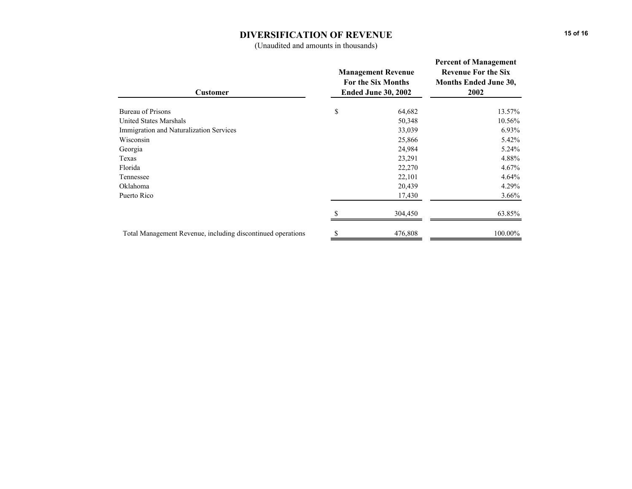### **DIVERSIFICATION OF REVENUE**

(Unaudited and amounts in thousands)

| <b>Customer</b>                                             | <b>Management Revenue</b><br><b>For the Six Months</b><br><b>Ended June 30, 2002</b> | <b>Percent of Management</b><br><b>Revenue For the Six</b><br><b>Months Ended June 30,</b><br>2002 |  |
|-------------------------------------------------------------|--------------------------------------------------------------------------------------|----------------------------------------------------------------------------------------------------|--|
| Bureau of Prisons                                           | \$<br>64,682                                                                         | 13.57%                                                                                             |  |
| <b>United States Marshals</b>                               | 50,348                                                                               | 10.56%                                                                                             |  |
| Immigration and Naturalization Services                     | 33,039                                                                               | $6.93\%$                                                                                           |  |
| Wisconsin                                                   | 25,866                                                                               | 5.42%                                                                                              |  |
| Georgia                                                     | 24,984                                                                               | 5.24%                                                                                              |  |
| Texas                                                       | 23,291                                                                               | 4.88%                                                                                              |  |
| Florida                                                     | 22,270                                                                               | 4.67%                                                                                              |  |
| Tennessee                                                   | 22,101                                                                               | 4.64%                                                                                              |  |
| Oklahoma                                                    | 20,439                                                                               | 4.29%                                                                                              |  |
| Puerto Rico                                                 | 17,430                                                                               | $3.66\%$                                                                                           |  |
|                                                             | 304,450                                                                              | 63.85%                                                                                             |  |
| Total Management Revenue, including discontinued operations | 476,808                                                                              | 100.00%                                                                                            |  |